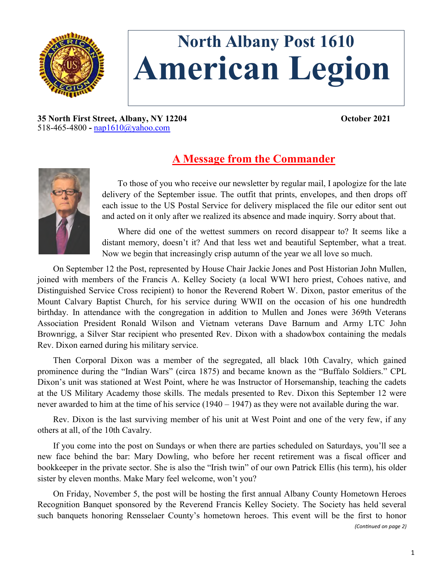

# **North Albany Post 1610 American Legion**

**35 North First Street, Albany, NY 12204 October 2021** 518-465-4800 **-** [nap1610@yahoo.com](mailto:nap1610@yahoo.com)

## **A Message from the Commander**



To those of you who receive our newsletter by regular mail, I apologize for the late delivery of the September issue. The outfit that prints, envelopes, and then drops off each issue to the US Postal Service for delivery misplaced the file our editor sent out and acted on it only after we realized its absence and made inquiry. Sorry about that.

Where did one of the wettest summers on record disappear to? It seems like a distant memory, doesn't it? And that less wet and beautiful September, what a treat. Now we begin that increasingly crisp autumn of the year we all love so much.

On September 12 the Post, represented by House Chair Jackie Jones and Post Historian John Mullen, joined with members of the Francis A. Kelley Society (a local WWI hero priest, Cohoes native, and Distinguished Service Cross recipient) to honor the Reverend Robert W. Dixon, pastor emeritus of the Mount Calvary Baptist Church, for his service during WWII on the occasion of his one hundredth birthday. In attendance with the congregation in addition to Mullen and Jones were 369th Veterans Association President Ronald Wilson and Vietnam veterans Dave Barnum and Army LTC John Brownrigg, a Silver Star recipient who presented Rev. Dixon with a shadowbox containing the medals Rev. Dixon earned during his military service.

Then Corporal Dixon was a member of the segregated, all black 10th Cavalry, which gained prominence during the "Indian Wars" (circa 1875) and became known as the "Buffalo Soldiers." CPL Dixon's unit was stationed at West Point, where he was Instructor of Horsemanship, teaching the cadets at the US Military Academy those skills. The medals presented to Rev. Dixon this September 12 were never awarded to him at the time of his service (1940 – 1947) as they were not available during the war.

Rev. Dixon is the last surviving member of his unit at West Point and one of the very few, if any others at all, of the 10th Cavalry.

If you come into the post on Sundays or when there are parties scheduled on Saturdays, you'll see a new face behind the bar: Mary Dowling, who before her recent retirement was a fiscal officer and bookkeeper in the private sector. She is also the "Irish twin" of our own Patrick Ellis (his term), his older sister by eleven months. Make Mary feel welcome, won't you?

On Friday, November 5, the post will be hosting the first annual Albany County Hometown Heroes Recognition Banquet sponsored by the Reverend Francis Kelley Society. The Society has held several such banquets honoring Rensselaer County's hometown heroes. This event will be the first to honor

*(Continued on page 2)*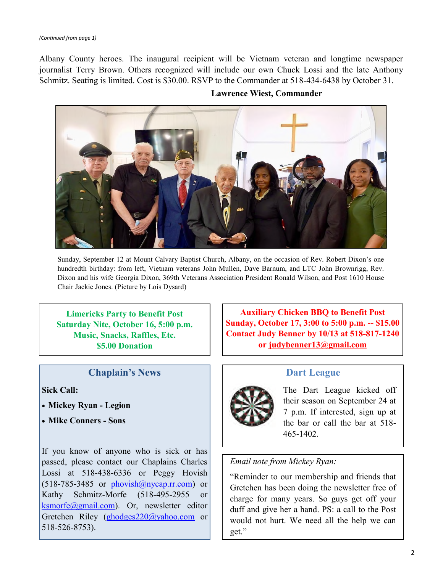Albany County heroes. The inaugural recipient will be Vietnam veteran and longtime newspaper journalist Terry Brown. Others recognized will include our own Chuck Lossi and the late Anthony Schmitz. Seating is limited. Cost is \$30.00. RSVP to the Commander at 518-434-6438 by October 31.



**Lawrence Wiest, Commander**

Sunday, September 12 at Mount Calvary Baptist Church, Albany, on the occasion of Rev. Robert Dixon's one hundredth birthday: from left, Vietnam veterans John Mullen, Dave Barnum, and LTC John Brownrigg, Rev. Dixon and his wife Georgia Dixon, 369th Veterans Association President Ronald Wilson, and Post 1610 House Chair Jackie Jones. (Picture by Lois Dysard)

**Limericks Party to Benefit Post Saturday Nite, October 16, 5:00 p.m. Music, Snacks, Raffles, Etc. \$5.00 Donation**

#### **Chaplain's News**

#### **Sick Call:**

- **Mickey Ryan - Legion**
- **Mike Conners - Sons**

If you know of anyone who is sick or has passed, please contact our Chaplains Charles Lossi at 518-438-6336 or Peggy Hovish  $(518-785-3485)$  or phovish $@n$ ycap.rr.com) or Kathy Schmitz-Morfe (518-495-2955 or [ksmorfe@gmail.com\)](mailto:ksmorfe@gmail.com). Or, newsletter editor Gretchen Riley [\(ghodges220@yahoo.com](mailto:ghodges220@yahoo.com) or 518-526-8753).

**Auxiliary Chicken BBQ to Benefit Post Sunday, October 17, 3:00 to 5:00 p.m. -- \$15.00 Contact Judy Benner by 10/13 at 518-817-1240 or [judybenner13@gmail.com](mailto:judybenner13@gmail.com)**

#### **Dart League**

The Dart League kicked off their season on September 24 at 7 p.m. If interested, sign up at the bar or call the bar at 518- 465-1402.

#### *Email note from Mickey Ryan:*

"Reminder to our membership and friends that Gretchen has been doing the newsletter free of charge for many years. So guys get off your duff and give her a hand. PS: a call to the Post would not hurt. We need all the help we can get."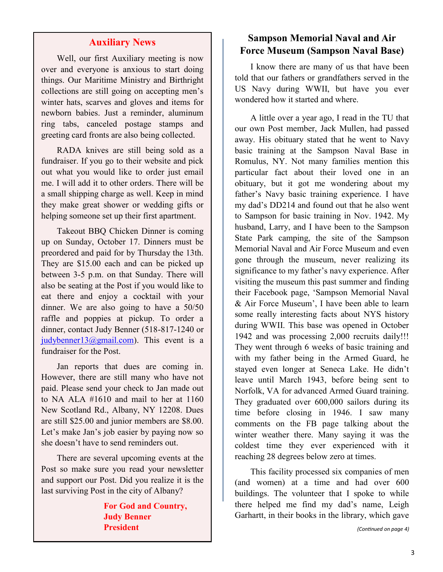#### **Auxiliary News**

Well, our first Auxiliary meeting is now over and everyone is anxious to start doing things. Our Maritime Ministry and Birthright collections are still going on accepting men's winter hats, scarves and gloves and items for newborn babies. Just a reminder, aluminum ring tabs, canceled postage stamps and greeting card fronts are also being collected.

RADA knives are still being sold as a fundraiser. If you go to their website and pick out what you would like to order just email me. I will add it to other orders. There will be a small shipping charge as well. Keep in mind they make great shower or wedding gifts or helping someone set up their first apartment.

Takeout BBQ Chicken Dinner is coming up on Sunday, October 17. Dinners must be preordered and paid for by Thursday the 13th. They are \$15.00 each and can be picked up between 3-5 p.m. on that Sunday. There will also be seating at the Post if you would like to eat there and enjoy a cocktail with your dinner. We are also going to have a 50/50 raffle and poppies at pickup. To order a dinner, contact Judy Benner (518-817-1240 or [judybenner13@gmail.com\)](mailto:judybenner13@gmail.com). This event is a fundraiser for the Post.

Jan reports that dues are coming in. However, there are still many who have not paid. Please send your check to Jan made out to NA ALA #1610 and mail to her at 1160 New Scotland Rd., Albany, NY 12208. Dues are still \$25.00 and junior members are \$8.00. Let's make Jan's job easier by paying now so she doesn't have to send reminders out.

There are several upcoming events at the Post so make sure you read your newsletter and support our Post. Did you realize it is the last surviving Post in the city of Albany?

> **For God and Country, Judy Benner President**

### **Sampson Memorial Naval and Air Force Museum (Sampson Naval Base)**

I know there are many of us that have been told that our fathers or grandfathers served in the US Navy during WWII, but have you ever wondered how it started and where.

A little over a year ago, I read in the TU that our own Post member, Jack Mullen, had passed away. His obituary stated that he went to Navy basic training at the Sampson Naval Base in Romulus, NY. Not many families mention this particular fact about their loved one in an obituary, but it got me wondering about my father's Navy basic training experience. I have my dad's DD214 and found out that he also went to Sampson for basic training in Nov. 1942. My husband, Larry, and I have been to the Sampson State Park camping, the site of the Sampson Memorial Naval and Air Force Museum and even gone through the museum, never realizing its significance to my father's navy experience. After visiting the museum this past summer and finding their Facebook page, 'Sampson Memorial Naval & Air Force Museum', I have been able to learn some really interesting facts about NYS history during WWII. This base was opened in October 1942 and was processing 2,000 recruits daily!!! They went through 6 weeks of basic training and with my father being in the Armed Guard, he stayed even longer at Seneca Lake. He didn't leave until March 1943, before being sent to Norfolk, VA for advanced Armed Guard training. They graduated over 600,000 sailors during its time before closing in 1946. I saw many comments on the FB page talking about the winter weather there. Many saying it was the coldest time they ever experienced with it reaching 28 degrees below zero at times.

This facility processed six companies of men (and women) at a time and had over 600 buildings. The volunteer that I spoke to while there helped me find my dad's name, Leigh Garhartt, in their books in the library, which gave